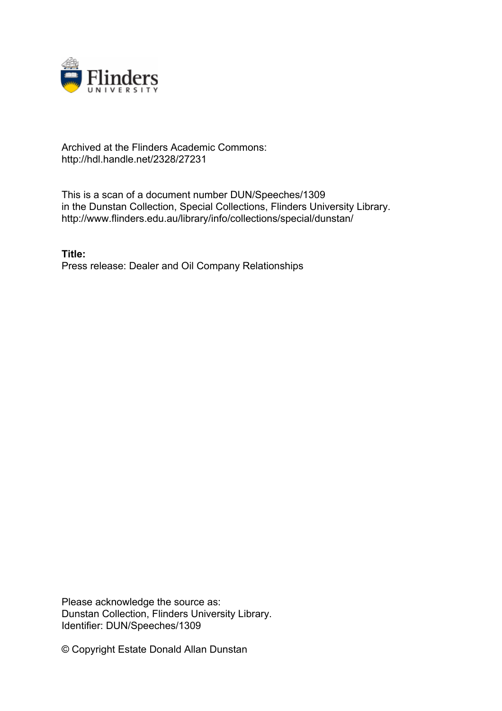

## Archived at the Flinders Academic Commons: http://hdl.handle.net/2328/27231

This is a scan of a document number DUN/Speeches/1309 in the Dunstan Collection, Special Collections, Flinders University Library. http://www.flinders.edu.au/library/info/collections/special/dunstan/

**Title:** Press release: Dealer and Oil Company Relationships

Please acknowledge the source as: Dunstan Collection, Flinders University Library. Identifier: DUN/Speeches/1309

© Copyright Estate Donald Allan Dunstan